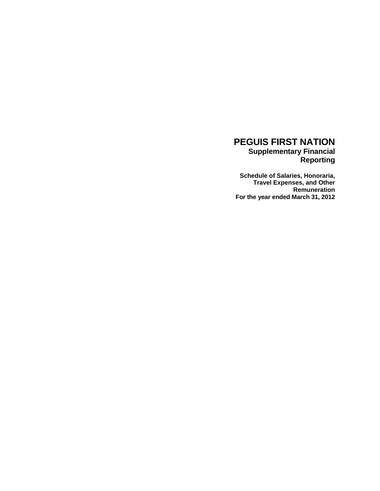### **PEGUIS FIRST NATION Supplementary Financial Reporting**

**Schedule of Salaries, Honoraria, Travel Expenses, and Other Remuneration For the year ended March 31, 2012**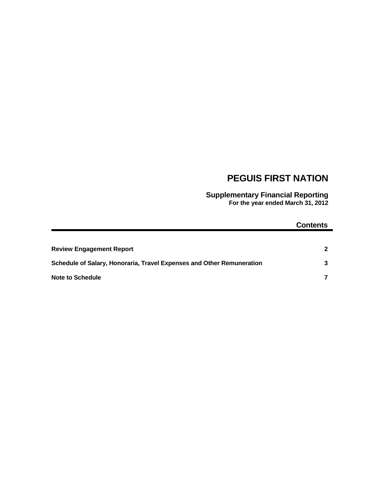# **PEGUIS FIRST NATION**

**Supplementary Financial Reporting For the year ended March 31, 2012**

### **Contents**

| <b>Review Engagement Report</b>                                       |   |
|-----------------------------------------------------------------------|---|
| Schedule of Salary, Honoraria, Travel Expenses and Other Remuneration | 3 |
| <b>Note to Schedule</b>                                               |   |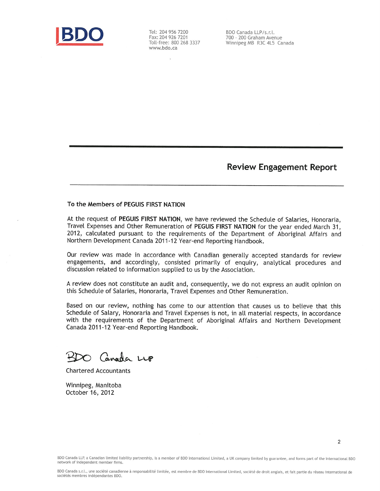

Tel: 204 956 7200 Fax: 204 926 7201 Toll-free: 800 268 3337 www.bdo.ca

.

BDO Canada LLP/s.r.l. 700 - 200 Graham Avenue Winnipeg MB R3C 4L5 Canada

### **Review Engagement Report**

 $\overline{2}$ 

#### To the Members of PEGUIS FIRST NATION

At the request of PEGUIS FIRST NATION, we have reviewed the Schedule of Salaries, Honoraria, Travel Expenses and Other Remuneration of PEGUIS FIRST NATION for the year ended March 31, 2012, calculated pursuant to the requirements of the Department of Aboriginal Affairs and Northern Development Canada 2011-12 Year-end Reporting Handbook.

Our review was made in accordance with Canadian generally accepted standards for review engagements, and accordingly, consisted primarily of enquiry, analytical procedures and discussion related to information supplied to us by the Association.

A review does not constitute an audit and, consequently, we do not express an audit opinion on this Schedule of Salaries, Honoraria, Travel Expenses and Other Remuneration.

Based on our review, nothing has come to our attention that causes us to believe that this Schedule of Salary, Honoraria and Travel Expenses is not, in all material respects, in accordance with the requirements of the Department of Aboriginal Affairs and Northern Development Canada 2011-12 Year-end Reporting Handbook.

O Canada LUP

**Chartered Accountants** 

Winnipeg, Manitoba October 16, 2012

BDO Canada LLP, a Canadian limited liability partnership, is a member of BDO International Limited, a UK company limited by guarantee, and forms part of the international BDO network of independent member firms.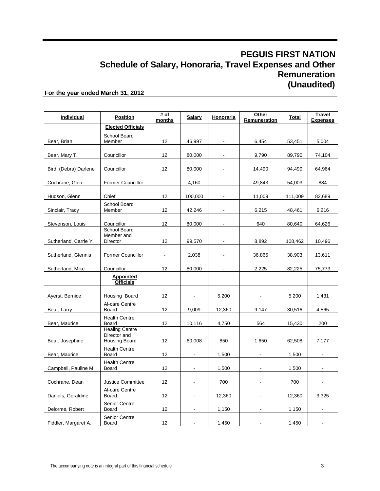| Individual            | <b>Position</b>                                               | # of<br>months    | <b>Salary</b>  | Honoraria      | <b>Other</b><br>Remuneration | Total   | Travel<br><b>Expenses</b> |
|-----------------------|---------------------------------------------------------------|-------------------|----------------|----------------|------------------------------|---------|---------------------------|
|                       | <b>Elected Officials</b>                                      |                   |                |                |                              |         |                           |
| Bear, Brian           | School Board<br>Member                                        | 12                | 46,997         |                | 6,454                        | 53,451  | 5,004                     |
| Bear, Mary T.         | Councillor                                                    | 12                | 80,000         |                | 9,790                        | 89,790  | 74,104                    |
| Bird, (Debra) Darlene | Councillor                                                    | 12                | 80,000         |                | 14,490                       | 94,490  | 64,964                    |
| Cochrane, Glen        | <b>Former Councillor</b>                                      | $\blacksquare$    | 4,160          |                | 49,843                       | 54,003  | 884                       |
| Hudson, Glenn         | Chief                                                         | 12                | 100,000        |                | 11,009                       | 111,009 | 82,689                    |
| Sinclair, Tracy       | School Board<br>Member                                        | 12                | 42,246         |                | 6,215                        | 48,461  | 6,216                     |
| Stevenson, Louis      | Councillor                                                    | 12                | 80,000         | $\blacksquare$ | 640                          | 80,640  | 64,626                    |
| Sutherland, Carrie Y. | School Board<br>Member and<br>Director                        | 12                | 99,570         |                | 8,892                        | 108,462 | 10,496                    |
| Sutherland, Glennis   | <b>Former Councillor</b>                                      | $\blacksquare$    | 2,038          |                | 36,865                       | 38,903  | 13,611                    |
| Sutherland, Mike      | Councillor                                                    | $12 \overline{ }$ | 80,000         | $\blacksquare$ | 2,225                        | 82,225  | 75,773                    |
|                       | <b>Appointed</b><br><b>Officials</b>                          |                   |                |                |                              |         |                           |
| Ayerst, Bernice       | Housing Board                                                 | 12                | $\blacksquare$ | 5,200          |                              | 5,200   | 1,431                     |
| Bear, Larry           | Al-care Centre<br>Board                                       | 12                | 9,009          | 12,360         | 9,147                        | 30,516  | 4,565                     |
| Bear, Maurice         | <b>Health Centre</b><br>Board                                 | 12                | 10,116         | 4,750          | 564                          | 15,430  | 200                       |
| Bear, Josephine       | <b>Healing Centre</b><br>Director and<br><b>Housing Board</b> | 12                | 60,008         | 850            | 1,650                        | 62,508  | 7,177                     |
| Bear, Maurice         | <b>Health Centre</b><br>Board                                 | 12                | $\blacksquare$ | 1,500          |                              | 1,500   |                           |
| Campbell, Pauline M.  | <b>Health Centre</b><br><b>Board</b>                          | 12                | $\blacksquare$ | 1,500          |                              | 1,500   |                           |
| Cochrane, Dean        | Justice Committee                                             | 12                |                | 700            |                              | 700     |                           |
| Daniels, Geraldine    | Al-care Centre<br>Board                                       | 12                | $\blacksquare$ | 12,360         |                              | 12,360  | 3,325                     |
| Delorme, Robert       | Senior Centre<br>Board                                        | 12                | $\blacksquare$ | 1,150          |                              | 1,150   |                           |
| Fiddler, Margaret A.  | <b>Senior Centre</b><br>Board                                 | 12                |                | 1,450          |                              | 1,450   |                           |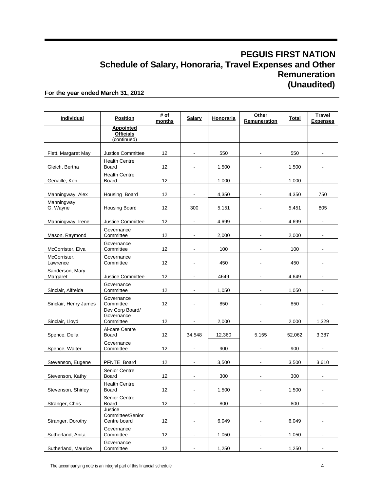| <b>Individual</b>           | <b>Position</b>                                     | # of<br>months    | <b>Salary</b>            | Honoraria | Other<br>Remuneration    | Total  | Travel<br><b>Expenses</b> |
|-----------------------------|-----------------------------------------------------|-------------------|--------------------------|-----------|--------------------------|--------|---------------------------|
|                             | <b>Appointed</b><br><b>Officials</b><br>(continued) |                   |                          |           |                          |        |                           |
| Flett, Margaret May         | Justice Committee                                   | 12                | $\blacksquare$           | 550       |                          | 550    |                           |
| Gleich, Bertha              | <b>Health Centre</b><br><b>Board</b>                | 12                | $\blacksquare$           | 1,500     |                          | 1,500  |                           |
| Genaille, Ken               | <b>Health Centre</b><br>Board                       | 12                | $\blacksquare$           | 1,000     |                          | 1,000  | $\blacksquare$            |
| Manningway, Alex            | Housing Board                                       | 12                |                          | 4,350     |                          | 4,350  | 750                       |
| Manningway,<br>G. Wayne     | <b>Housing Board</b>                                | 12                | 300                      | 5,151     |                          | 5,451  | 805                       |
| Manningway, Irene           | <b>Justice Committee</b>                            | 12                | $\overline{\phantom{a}}$ | 4,699     | $\blacksquare$           | 4,699  | $\blacksquare$            |
| Mason, Raymond              | Governance<br>Committee                             | 12                | $\blacksquare$           | 2,000     |                          | 2,000  |                           |
| McCorrister, Elva           | Governance<br>Committee                             | 12                |                          | 100       |                          | 100    |                           |
| McCorrister,<br>Lawrence    | Governance<br>Committee                             | 12                | $\blacksquare$           | 450       | $\overline{\phantom{a}}$ | 450    | $\blacksquare$            |
| Sanderson, Mary<br>Margaret | <b>Justice Committee</b>                            | 12                |                          | 4649      |                          | 4.649  |                           |
| Sinclair, Alfreida          | Governance<br>Committee                             | 12                |                          | 1,050     |                          | 1,050  |                           |
| Sinclair, Henry James       | Governance<br>Committee                             | $12 \overline{ }$ | $\blacksquare$           | 850       | $\blacksquare$           | 850    | $\blacksquare$            |
| Sinclair, Lloyd             | Dev Corp Board/<br>Governance<br>Committee          | 12                |                          | 2,000     |                          | 2.000  | 1,329                     |
| Spence, Della               | Al-care Centre<br>Board                             | 12                | 34,548                   | 12,360    | 5,155                    | 52,062 | 3,387                     |
| Spence, Walter              | Governance<br>Committee                             | 12                | $\blacksquare$           | 900       | $\blacksquare$           | 900    | $\blacksquare$            |
| Stevenson, Eugene           | PFNTE Board                                         | 12                | $\blacksquare$           | 3,500     |                          | 3,500  | 3,610                     |
| Stevenson, Kathy            | Senior Centre<br>Board                              | 12                | $\blacksquare$           | 300       |                          | 300    |                           |
| Stevenson, Shirley          | <b>Health Centre</b><br>Board                       | 12                | $\blacksquare$           | 1,500     | $\blacksquare$           | 1,500  | $\blacksquare$            |
| Stranger, Chris             | <b>Senior Centre</b><br>Board                       | 12                | $\blacksquare$           | 800       | $\blacksquare$           | 800    | -                         |
| Stranger, Dorothy           | Justice<br>Committee/Senior<br>Centre board         | 12                | $\blacksquare$           | 6,049     | $\blacksquare$           | 6,049  | $\blacksquare$            |
| Sutherland, Anita           | Governance<br>Committee                             | 12                | $\blacksquare$           | 1,050     | $\blacksquare$           | 1,050  | $\blacksquare$            |
| Sutherland, Maurice         | Governance<br>Committee                             | 12                | $\blacksquare$           | 1,250     | $\blacksquare$           | 1,250  | $\blacksquare$            |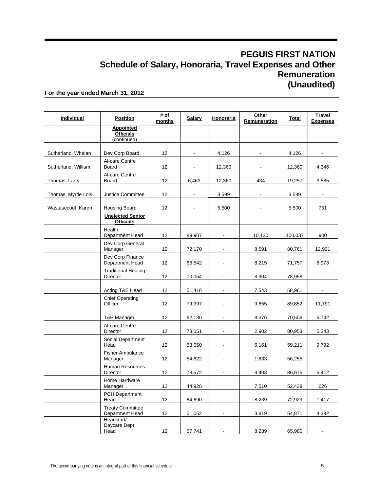| Individual          | <b>Position</b>                                     | # of<br>months | <b>Salary</b>  | Honoraria                | Other<br>Remuneration | <b>Total</b> | <b>Travel</b><br><b>Expenses</b> |
|---------------------|-----------------------------------------------------|----------------|----------------|--------------------------|-----------------------|--------------|----------------------------------|
|                     | <b>Appointed</b><br><b>Officials</b><br>(continued) |                |                |                          |                       |              |                                  |
| Sutherland, Whelan  | Dev Corp Board                                      | 12             | $\blacksquare$ | 4,126                    |                       | 4,126        |                                  |
| Sutherland, William | Al-care Centre<br>Board                             | 12             |                | 12,360                   |                       | 12,360       | 4,346                            |
| Thomas, Larry       | Al-care Centre<br>Board                             | 12             | 6,463          | 12,360                   | 434                   | 19,257       | 3,585                            |
| Thomas, Myrtle Lois | <b>Justice Committee</b>                            | 12             | $\blacksquare$ | 3,599                    |                       | 3,599        |                                  |
| Wastasecoot, Karen  | <b>Housing Board</b>                                | 12             |                | 5,500                    |                       | 5,500        | 751                              |
|                     | <b>Unelected Senior</b><br><b>Officials</b>         |                |                |                          |                       |              |                                  |
|                     | Health<br>Department Head                           | 12             | 89.907         |                          | 10,130                | 100,037      | 900                              |
|                     | Dev Corp General<br>Manager                         | 12             | 72,170         |                          | 8,591                 | 80,761       | 12,921                           |
|                     | Dev Corp Finance<br>Department Head                 | 12             | 63,542         | $\blacksquare$           | 8,215                 | 71,757       | 6,973                            |
|                     | <b>Traditional Healing</b><br>Director              | 12             | 70,054         |                          | 8,904                 | 78,958       |                                  |
|                     | Acting T&E Head                                     | 12             | 51,418         |                          | 7,543                 | 58,961       |                                  |
|                     | <b>Chief Operating</b><br>Officer                   | 12             | 79,997         | $\overline{\phantom{a}}$ | 9,855                 | 89,852       | 11,791                           |
|                     | T&E Manager                                         | 12             | 62,130         |                          | 8,376                 | 70,506       | 5,742                            |
|                     | Al-care Centre<br>Director                          | 12             | 78,051         |                          | 2,902                 | 80,953       | 5,343                            |
|                     | Social Department<br>Head                           | 12             | 53,050         | $\blacksquare$           | 6,161                 | 59,211       | 9,792                            |
|                     | <b>Fisher Ambulance</b><br>Manager                  | 12             | 54,622         |                          | 1,633                 | 56,255       |                                  |
|                     | Human Resources<br>Director                         | 12             | 78,572         |                          | 8,403                 | 86,975       | 5,412                            |
|                     | Home Hardware<br>Manager                            | 12             | 44,928         |                          | 7,510                 | 52,438       | 626                              |
|                     | <b>PCH Department</b><br>Head                       | 12             | 64,690         |                          | 8,239                 | 72,929       | 1,417                            |
|                     | <b>Treaty Committee</b><br>Department Head          | 12             | 51,052         |                          | 3,819                 | 54,871       | 4,392                            |
|                     | Headstart/<br>Daycare Dept<br>Head                  | 12             | 57,741         |                          | 8,239                 | 65,980       |                                  |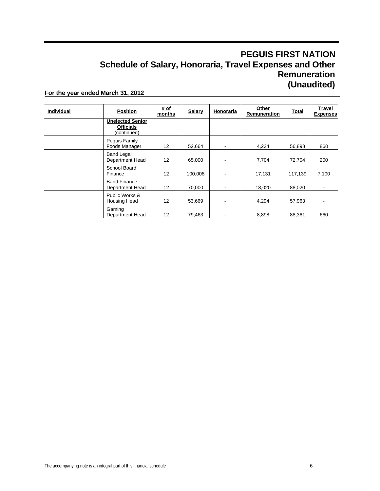| Individual | <b>Position</b>                                            | # of<br>months    | <b>Salary</b> | Honoraria | Other<br>Remuneration | <b>Total</b> | <b>Travel</b><br><b>Expenses</b> |
|------------|------------------------------------------------------------|-------------------|---------------|-----------|-----------------------|--------------|----------------------------------|
|            | <b>Unelected Senior</b><br><b>Officials</b><br>(continued) |                   |               |           |                       |              |                                  |
|            | Peguis Family<br>Foods Manager                             | $12 \overline{ }$ | 52,664        |           | 4,234                 | 56,898       | 860                              |
|            | <b>Band Legal</b><br>Department Head                       | $12 \overline{ }$ | 65,000        |           | 7,704                 | 72,704       | 200                              |
|            | School Board<br>Finance                                    | $12 \overline{ }$ | 100,008       |           | 17,131                | 117,139      | 7,100                            |
|            | <b>Band Finance</b><br>Department Head                     | $12 \overline{ }$ | 70,000        |           | 18,020                | 88,020       |                                  |
|            | Public Works &<br>Housing Head                             | 12                | 53,669        | ۰         | 4,294                 | 57,963       |                                  |
|            | Gaming<br>Department Head                                  | 12                | 79.463        |           | 8.898                 | 88.361       | 660                              |